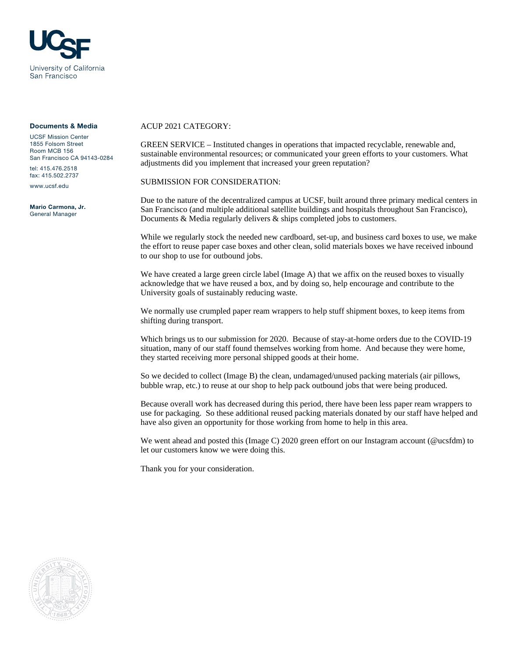

## Documents & Media

UCSF Mission Center 1855 Folsom Street Room MCB 156 San Francisco CA 94143-0284 tel: 415.476.2518

fax: 415.502.2737

www.ucsf.edu

Mario Carmona, Jr. General Manager

## ACUP 2021 CATEGORY:

GREEN SERVICE – Instituted changes in operations that impacted recyclable, renewable and, sustainable environmental resources; or communicated your green efforts to your customers. What adjustments did you implement that increased your green reputation?

SUBMISSION FOR CONSIDERATION:

Due to the nature of the decentralized campus at UCSF, built around three primary medical centers in San Francisco (and multiple additional satellite buildings and hospitals throughout San Francisco), Documents & Media regularly delivers & ships completed jobs to customers.

While we regularly stock the needed new cardboard, set-up, and business card boxes to use, we make the effort to reuse paper case boxes and other clean, solid materials boxes we have received inbound to our shop to use for outbound jobs.

We have created a large green circle label (Image A) that we affix on the reused boxes to visually acknowledge that we have reused a box, and by doing so, help encourage and contribute to the University goals of sustainably reducing waste.

We normally use crumpled paper ream wrappers to help stuff shipment boxes, to keep items from shifting during transport.

Which brings us to our submission for 2020. Because of stay-at-home orders due to the COVID-19 situation, many of our staff found themselves working from home. And because they were home, they started receiving more personal shipped goods at their home.

So we decided to collect (Image B) the clean, undamaged/unused packing materials (air pillows, bubble wrap, etc.) to reuse at our shop to help pack outbound jobs that were being produced.

Because overall work has decreased during this period, there have been less paper ream wrappers to use for packaging. So these additional reused packing materials donated by our staff have helped and have also given an opportunity for those working from home to help in this area.

We went ahead and posted this (Image C) 2020 green effort on our Instagram account (@ucsfdm) to let our customers know we were doing this.

Thank you for your consideration.